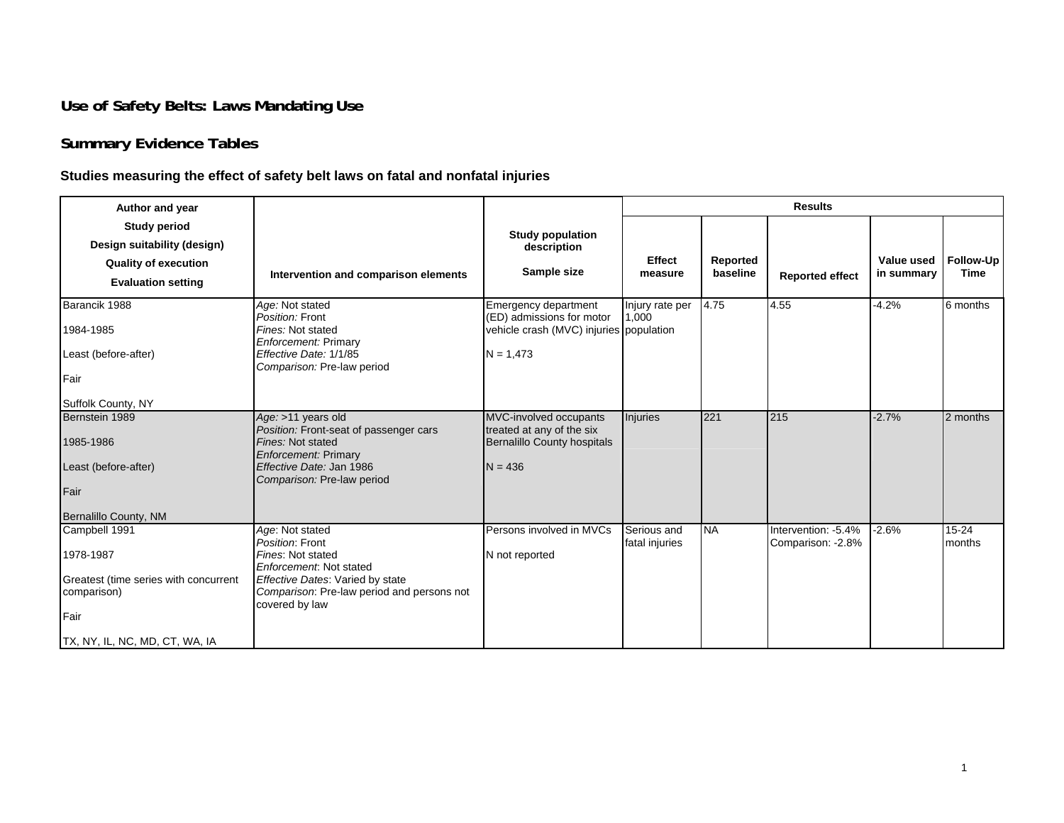## **Use of Safety Belts: Laws Mandating Use**

# **Summary Evidence Tables**

### **Studies measuring the effect of safety belt laws on fatal and nonfatal injuries**

| Author and year                                                                                                              |                                                                                                                                                                                        |                                                                                                             |                               |                      | <b>Results</b>                            |                          |                          |
|------------------------------------------------------------------------------------------------------------------------------|----------------------------------------------------------------------------------------------------------------------------------------------------------------------------------------|-------------------------------------------------------------------------------------------------------------|-------------------------------|----------------------|-------------------------------------------|--------------------------|--------------------------|
| <b>Study period</b><br>Design suitability (design)<br><b>Quality of execution</b><br><b>Evaluation setting</b>               | Intervention and comparison elements                                                                                                                                                   | <b>Study population</b><br>description<br>Sample size                                                       | <b>Effect</b><br>measure      | Reported<br>baseline | <b>Reported effect</b>                    | Value used<br>in summary | Follow-Up<br><b>Time</b> |
| Barancik 1988<br>1984-1985<br>Least (before-after)<br>Fair<br>Suffolk County, NY                                             | Age: Not stated<br>Position: Front<br>Fines: Not stated<br><b>Enforcement: Primary</b><br>Effective Date: 1/1/85<br>Comparison: Pre-law period                                         | Emergency department<br>(ED) admissions for motor<br>vehicle crash (MVC) injuries population<br>$N = 1,473$ | Injury rate per<br>1,000      | 4.75                 | 4.55                                      | $-4.2%$                  | 6 months                 |
| Bernstein 1989<br>1985-1986<br>Least (before-after)<br>Fair<br>Bernalillo County, NM                                         | Age: >11 years old<br>Position: Front-seat of passenger cars<br>Fines: Not stated<br><b>Enforcement: Primary</b><br>Effective Date: Jan 1986<br>Comparison: Pre-law period             | MVC-involved occupants<br>treated at any of the six<br><b>Bernalillo County hospitals</b><br>$N = 436$      | Injuries                      | 221                  | 215                                       | $-2.7%$                  | 2 months                 |
| Campbell 1991<br>1978-1987<br>Greatest (time series with concurrent<br>comparison)<br>Fair<br>TX, NY, IL, NC, MD, CT, WA, IA | Age: Not stated<br>Position: Front<br>Fines: Not stated<br>Enforcement: Not stated<br>Effective Dates: Varied by state<br>Comparison: Pre-law period and persons not<br>covered by law | Persons involved in MVCs<br>N not reported                                                                  | Serious and<br>fatal injuries | <b>NA</b>            | Intervention: -5.4%<br>Comparison: - 2.8% | $-2.6%$                  | $15 - 24$<br>months      |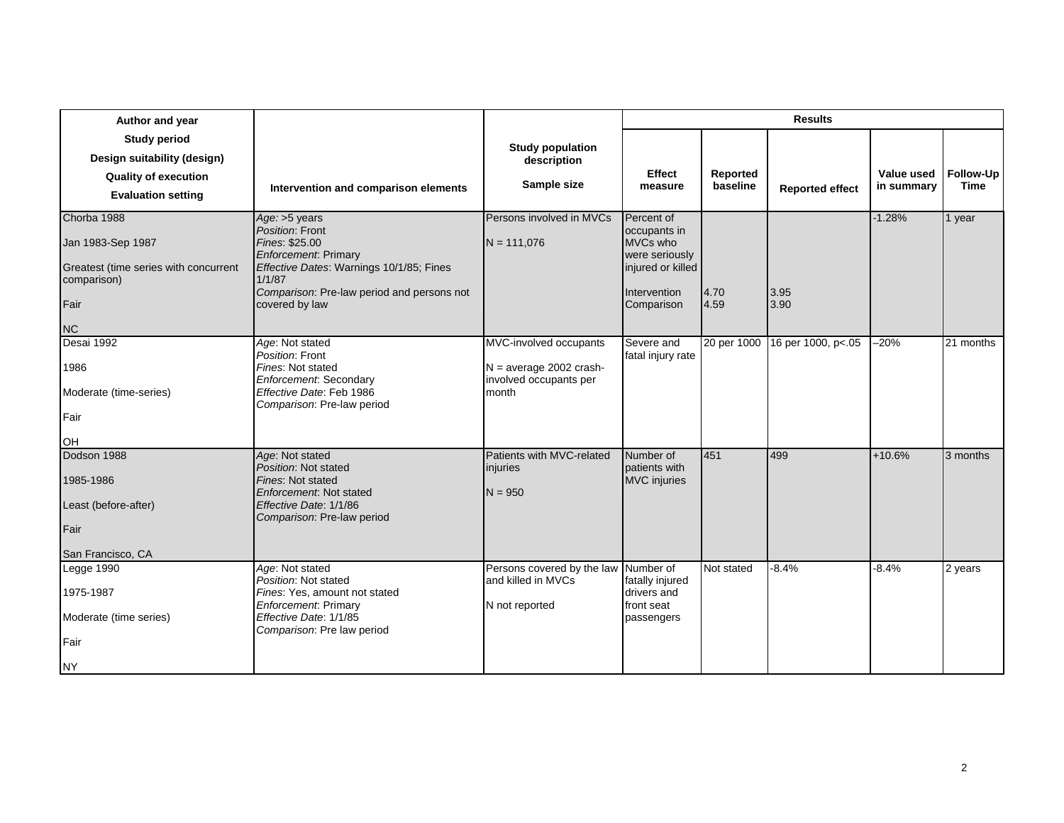| Author and year                                                                                                |                                                                                                                                                                                                          |                                                                                        |                                                                                                             |                      | <b>Results</b>                 |                          |                          |
|----------------------------------------------------------------------------------------------------------------|----------------------------------------------------------------------------------------------------------------------------------------------------------------------------------------------------------|----------------------------------------------------------------------------------------|-------------------------------------------------------------------------------------------------------------|----------------------|--------------------------------|--------------------------|--------------------------|
| <b>Study period</b><br>Design suitability (design)<br><b>Quality of execution</b><br><b>Evaluation setting</b> | Intervention and comparison elements                                                                                                                                                                     | <b>Study population</b><br>description<br>Sample size                                  | Effect<br>measure                                                                                           | Reported<br>baseline | <b>Reported effect</b>         | Value used<br>in summary | Follow-Up<br><b>Time</b> |
| Chorba 1988<br>Jan 1983-Sep 1987<br>Greatest (time series with concurrent<br>comparison)<br>Fair<br><b>NC</b>  | Age: >5 years<br>Position: Front<br>Fines: \$25.00<br><b>Enforcement</b> : Primary<br>Effective Dates: Warnings 10/1/85; Fines<br>1/1/87<br>Comparison: Pre-law period and persons not<br>covered by law | Persons involved in MVCs<br>$N = 111,076$                                              | Percent of<br>occupants in<br>MVCs who<br>were seriously<br>injured or killed<br>Intervention<br>Comparison | 4.70<br>4.59         | 3.95<br>3.90                   | $-1.28%$                 | 1 year                   |
| Desai 1992<br>1986<br>Moderate (time-series)<br>Fair<br><b>OH</b>                                              | Age: Not stated<br>Position: Front<br>Fines: Not stated<br>Enforcement: Secondary<br>Effective Date: Feb 1986<br>Comparison: Pre-law period                                                              | MVC-involved occupants<br>$N = average 2002$ crash-<br>involved occupants per<br>month | Severe and<br>fatal injury rate                                                                             |                      | 20 per 1000 16 per 1000, p<.05 | $-20%$                   | 21 months                |
| Dodson 1988<br>1985-1986<br>Least (before-after)<br>Fair<br>San Francisco, CA                                  | Age: Not stated<br>Position: Not stated<br>Fines: Not stated<br>Enforcement: Not stated<br>Effective Date: 1/1/86<br>Comparison: Pre-law period                                                          | Patients with MVC-related<br>injuries<br>$N = 950$                                     | Number of<br>patients with<br><b>MVC</b> injuries                                                           | 451                  | 499                            | $+10.6%$                 | 3 months                 |
| Legge 1990<br>1975-1987<br>Moderate (time series)<br>Fair<br><b>NY</b>                                         | Age: Not stated<br>Position: Not stated<br>Fines: Yes, amount not stated<br><b>Enforcement</b> : Primary<br>Effective Date: 1/1/85<br>Comparison: Pre law period                                         | Persons covered by the law<br>and killed in MVCs<br>N not reported                     | Number of<br>fatally injured<br>drivers and<br>front seat<br>passengers                                     | Not stated           | $-8.4%$                        | $-8.4%$                  | 2 years                  |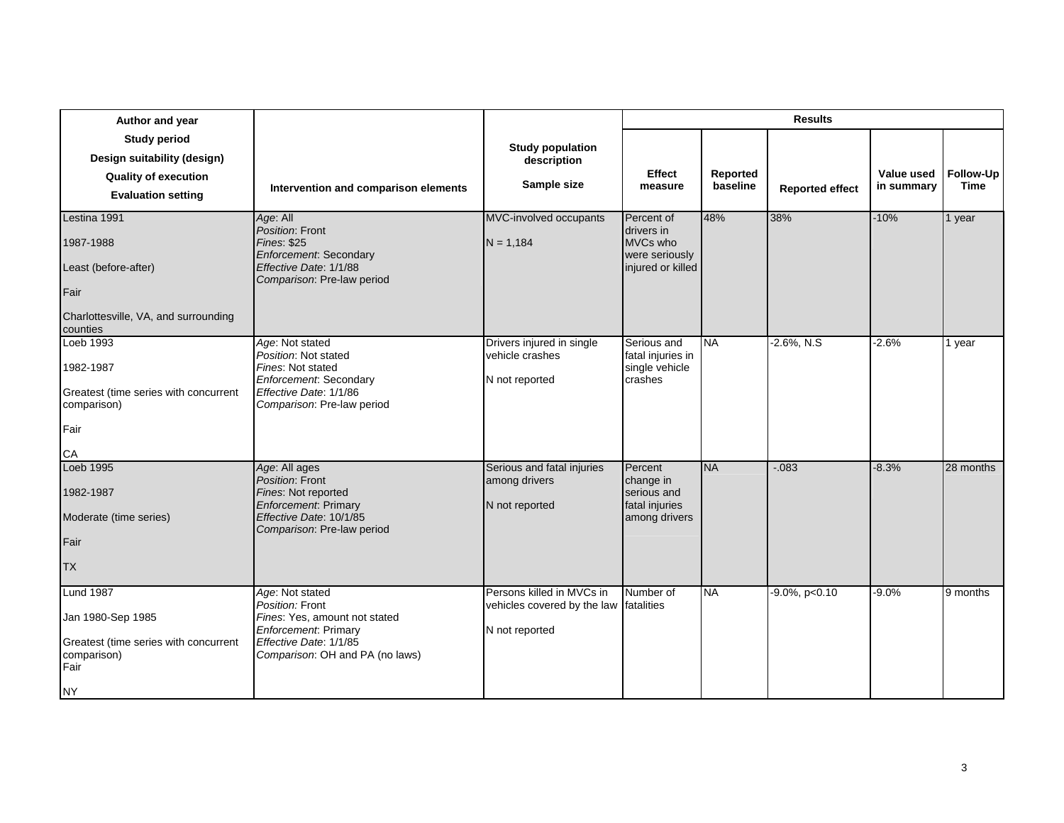| Author and year                                                                                                    |                                                                                                                                                                  |                                                                                       |                                                                             |                      | <b>Results</b>         |                          |                          |
|--------------------------------------------------------------------------------------------------------------------|------------------------------------------------------------------------------------------------------------------------------------------------------------------|---------------------------------------------------------------------------------------|-----------------------------------------------------------------------------|----------------------|------------------------|--------------------------|--------------------------|
| <b>Study period</b><br>Design suitability (design)<br><b>Quality of execution</b><br><b>Evaluation setting</b>     | Intervention and comparison elements                                                                                                                             | <b>Study population</b><br>description<br>Sample size                                 | Effect<br>measure                                                           | Reported<br>baseline | <b>Reported effect</b> | Value used<br>in summary | Follow-Up<br><b>Time</b> |
| Lestina 1991<br>1987-1988<br>Least (before-after)<br>Fair<br>Charlottesville, VA, and surrounding<br>counties      | Age: All<br>Position: Front<br><b>Fines: \$25</b><br><b>Enforcement: Secondary</b><br>Effective Date: 1/1/88<br>Comparison: Pre-law period                       | MVC-involved occupants<br>$N = 1.184$                                                 | Percent of<br>drivers in<br>MVCs who<br>were seriously<br>injured or killed | 48%                  | 38%                    | $-10%$                   | 1 year                   |
| Loeb 1993<br>1982-1987<br>Greatest (time series with concurrent<br>comparison)<br>Fair<br>СA                       | Age: Not stated<br>Position: Not stated<br>Fines: Not stated<br>Enforcement: Secondary<br>Effective Date: 1/1/86<br>Comparison: Pre-law period                   | Drivers injured in single<br>vehicle crashes<br>N not reported                        | Serious and<br>fatal injuries in<br>single vehicle<br>crashes               | <b>NA</b>            | $-2.6\%$ , N.S         | $-2.6%$                  | 1 year                   |
| Loeb 1995<br>1982-1987<br>Moderate (time series)<br>Fair<br><b>TX</b>                                              | Age: All ages<br>Position: Front<br>Fines: Not reported<br><b>Enforcement</b> : Primary<br>Effective Date: 10/1/85<br>Comparison: Pre-law period                 | Serious and fatal injuries<br>among drivers<br>N not reported                         | Percent<br>change in<br>serious and<br>fatal injuries<br>among drivers      | <b>NA</b>            | $-0.083$               | $-8.3%$                  | 28 months                |
| <b>Lund 1987</b><br>Jan 1980-Sep 1985<br>Greatest (time series with concurrent<br>comparison)<br>Fair<br><b>NY</b> | Age: Not stated<br>Position: Front<br>Fines: Yes, amount not stated<br><b>Enforcement</b> : Primary<br>Effective Date: 1/1/85<br>Comparison: OH and PA (no laws) | Persons killed in MVCs in<br>vehicles covered by the law fatalities<br>N not reported | Number of                                                                   | <b>NA</b>            | $-9.0\%$ , p<0.10      | $-9.0%$                  | 9 months                 |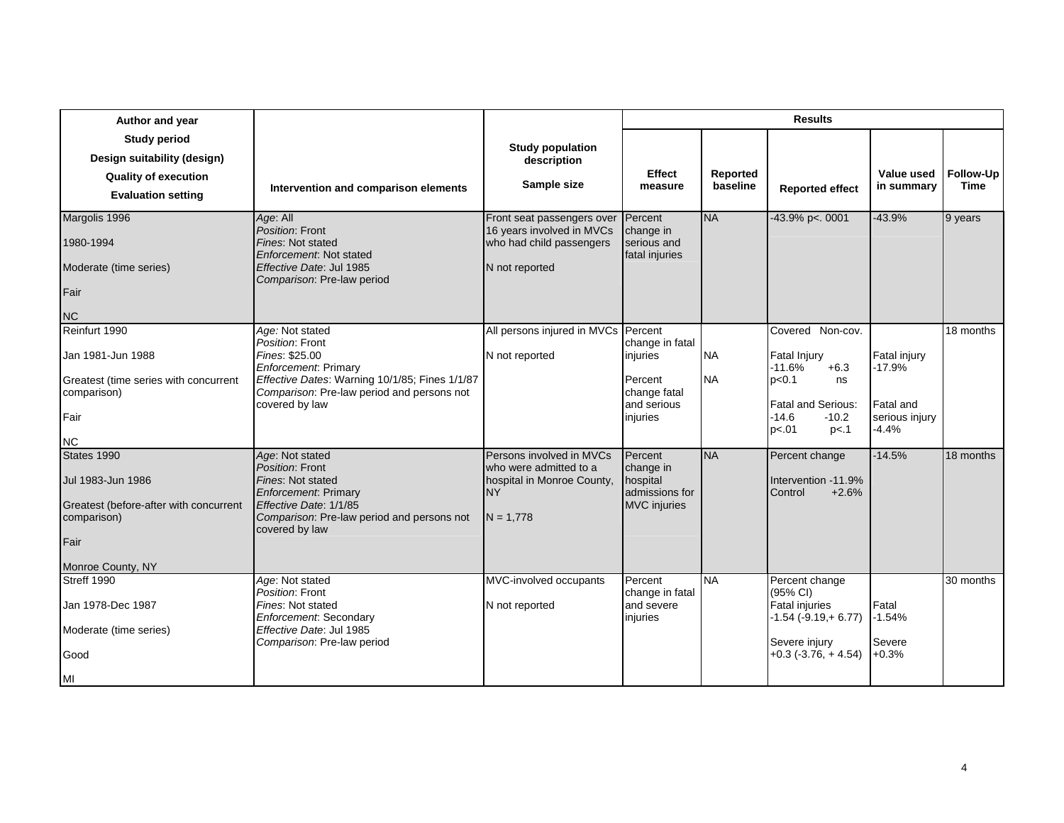| Author and year                                                                                                        |                                                                                                                                                                                                |                                                                                                              |                                                                                   |                        | <b>Results</b>                                                                                                                                 |                                                                  |                          |
|------------------------------------------------------------------------------------------------------------------------|------------------------------------------------------------------------------------------------------------------------------------------------------------------------------------------------|--------------------------------------------------------------------------------------------------------------|-----------------------------------------------------------------------------------|------------------------|------------------------------------------------------------------------------------------------------------------------------------------------|------------------------------------------------------------------|--------------------------|
| <b>Study period</b><br>Design suitability (design)<br><b>Quality of execution</b><br><b>Evaluation setting</b>         | Intervention and comparison elements                                                                                                                                                           | <b>Study population</b><br>description<br>Sample size                                                        | <b>Effect</b><br>measure                                                          | Reported<br>baseline   | <b>Reported effect</b>                                                                                                                         | Value used<br>in summary                                         | Follow-Up<br><b>Time</b> |
| Margolis 1996<br>1980-1994<br>Moderate (time series)<br>Fair<br><b>NC</b>                                              | Age: All<br>Position: Front<br>Fines: Not stated<br>Enforcement: Not stated<br>Effective Date: Jul 1985<br>Comparison: Pre-law period                                                          | Front seat passengers over<br>16 years involved in MVCs<br>who had child passengers<br>N not reported        | Percent<br>change in<br>serious and<br>fatal injuries                             | <b>NA</b>              | 43.9% p<. 0001                                                                                                                                 | $-43.9%$                                                         | 9 years                  |
| Reinfurt 1990<br>Jan 1981-Jun 1988<br>Greatest (time series with concurrent<br>comparison)<br>Fair<br><b>NC</b>        | Age: Not stated<br>Position: Front<br>Fines: \$25.00<br>Enforcement: Primary<br>Effective Dates: Warning 10/1/85; Fines 1/1/87<br>Comparison: Pre-law period and persons not<br>covered by law | All persons injured in MVCs Percent<br>N not reported                                                        | change in fatal<br>injuries<br>Percent<br>change fatal<br>and serious<br>injuries | <b>NA</b><br><b>NA</b> | Covered Non-cov.<br><b>Fatal Injury</b><br>-11.6%<br>$+6.3$<br>p<0.1<br>ns<br><b>Fatal and Serious:</b><br>$-14.6$<br>$-10.2$<br>p<.01<br>p<.1 | Fatal injury<br>$-17.9%$<br>Fatal and<br>serious injury<br>-4.4% | 18 months                |
| States 1990<br>Jul 1983-Jun 1986<br>Greatest (before-after with concurrent<br>comparison)<br>Fair<br>Monroe County, NY | Age: Not stated<br>Position: Front<br>Fines: Not stated<br>Enforcement: Primary<br>Effective Date: 1/1/85<br>Comparison: Pre-law period and persons not<br>covered by law                      | Persons involved in MVCs<br>who were admitted to a<br>hospital in Monroe County,<br><b>NY</b><br>$N = 1.778$ | Percent<br>change in<br>hospital<br>admissions for<br><b>MVC</b> injuries         | <b>NA</b>              | Percent change<br>Intervention -11.9%<br>Control<br>$+2.6%$                                                                                    | $-14.5%$                                                         | 18 months                |
| Streff 1990<br>Jan 1978-Dec 1987<br>Moderate (time series)<br>Good<br>MI                                               | Age: Not stated<br>Position: Front<br>Fines: Not stated<br>Enforcement: Secondary<br>Effective Date: Jul 1985<br>Comparison: Pre-law period                                                    | MVC-involved occupants<br>N not reported                                                                     | Percent<br>change in fatal<br>and severe<br>injuries                              | <b>NA</b>              | Percent change<br>(95% CI)<br>Fatal injuries<br>$-1.54$ ( $-9.19$ , $+6.77$ )<br>Severe injury<br>$+0.3$ ( $-3.76$ , $+4.54$ )                 | Fatal<br>$-1.54%$<br>Severe<br>$+0.3%$                           | 30 months                |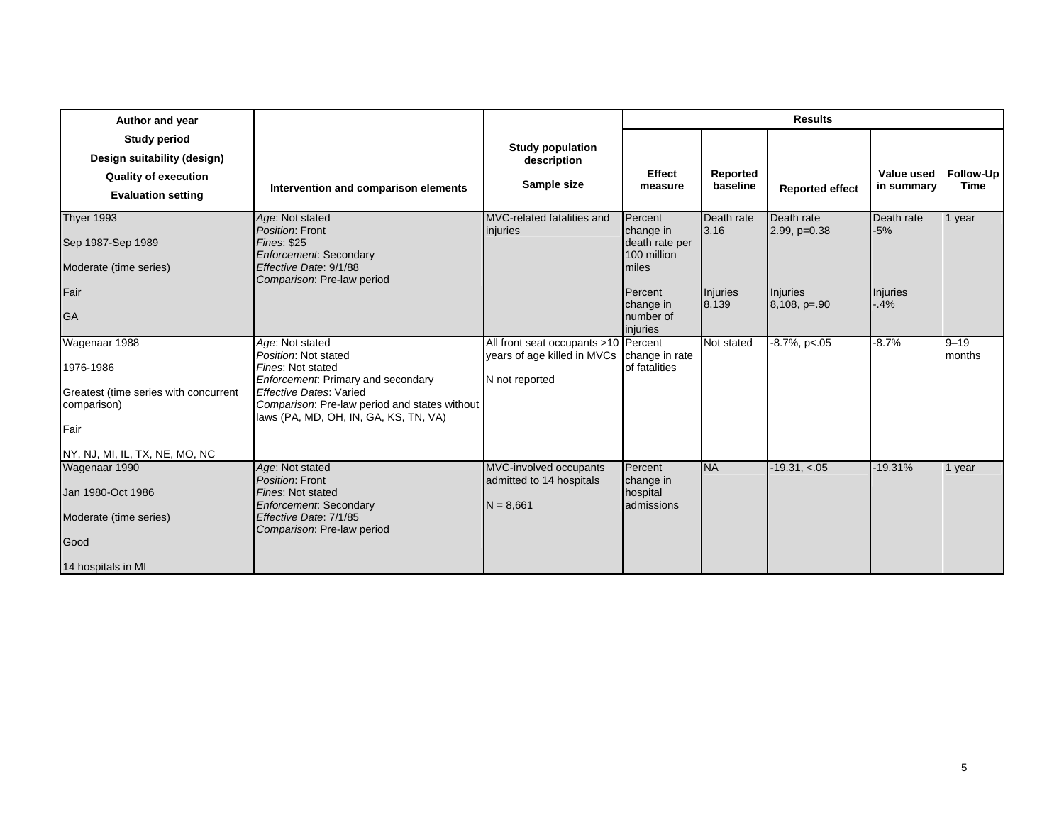| Author and year                                                                                                              |                                                                                                                                                                                                                                |                                                                                       |                                                                                                                 |                                         | <b>Results</b>                                             |                                            |                    |
|------------------------------------------------------------------------------------------------------------------------------|--------------------------------------------------------------------------------------------------------------------------------------------------------------------------------------------------------------------------------|---------------------------------------------------------------------------------------|-----------------------------------------------------------------------------------------------------------------|-----------------------------------------|------------------------------------------------------------|--------------------------------------------|--------------------|
| <b>Study period</b><br>Design suitability (design)<br><b>Quality of execution</b><br><b>Evaluation setting</b>               | Intervention and comparison elements                                                                                                                                                                                           | <b>Study population</b><br>description<br>Sample size                                 | <b>Effect</b><br>measure                                                                                        | Reported<br>baseline                    | <b>Reported effect</b>                                     | Value used<br>in summary                   | Follow-Up<br>Time  |
| <b>Thyer 1993</b><br>Sep 1987-Sep 1989<br>Moderate (time series)<br>Fair<br><b>GA</b>                                        | Age: Not stated<br>Position: Front<br><b>Fines: \$25</b><br><b>Enforcement: Secondary</b><br>Effective Date: 9/1/88<br>Comparison: Pre-law period                                                                              | MVC-related fatalities and<br>injuries                                                | Percent<br>change in<br>death rate per<br>100 million<br>miles<br>Percent<br>change in<br>number of<br>injuries | Death rate<br>3.16<br>Injuries<br>8,139 | Death rate<br>$2.99, p=0.38$<br>Injuries<br>$8,108, p=.90$ | Death rate<br>$-5%$<br>Injuries<br>$-0.4%$ | 1 year             |
| Wagenaar 1988<br>1976-1986<br>Greatest (time series with concurrent<br>comparison)<br>Fair<br>NY, NJ, MI, IL, TX, NE, MO, NC | Age: Not stated<br>Position: Not stated<br>Fines: Not stated<br>Enforcement: Primary and secondary<br><b>Effective Dates: Varied</b><br>Comparison: Pre-law period and states without<br>laws (PA, MD, OH, IN, GA, KS, TN, VA) | All front seat occupants >10 Percent<br>years of age killed in MVCs<br>N not reported | change in rate<br>of fatalities                                                                                 | Not stated                              | $-8.7\%$ , p<.05                                           | $-8.7%$                                    | $9 - 19$<br>months |
| Wagenaar 1990<br>Jan 1980-Oct 1986<br>Moderate (time series)<br>Good<br>14 hospitals in MI                                   | Age: Not stated<br>Position: Front<br>Fines: Not stated<br>Enforcement: Secondary<br>Effective Date: 7/1/85<br>Comparison: Pre-law period                                                                                      | MVC-involved occupants<br>admitted to 14 hospitals<br>$N = 8,661$                     | Percent<br>change in<br>hospital<br>admissions                                                                  | <b>NA</b>                               | $-19.31, < 05$                                             | $-19.31%$                                  | 1 year             |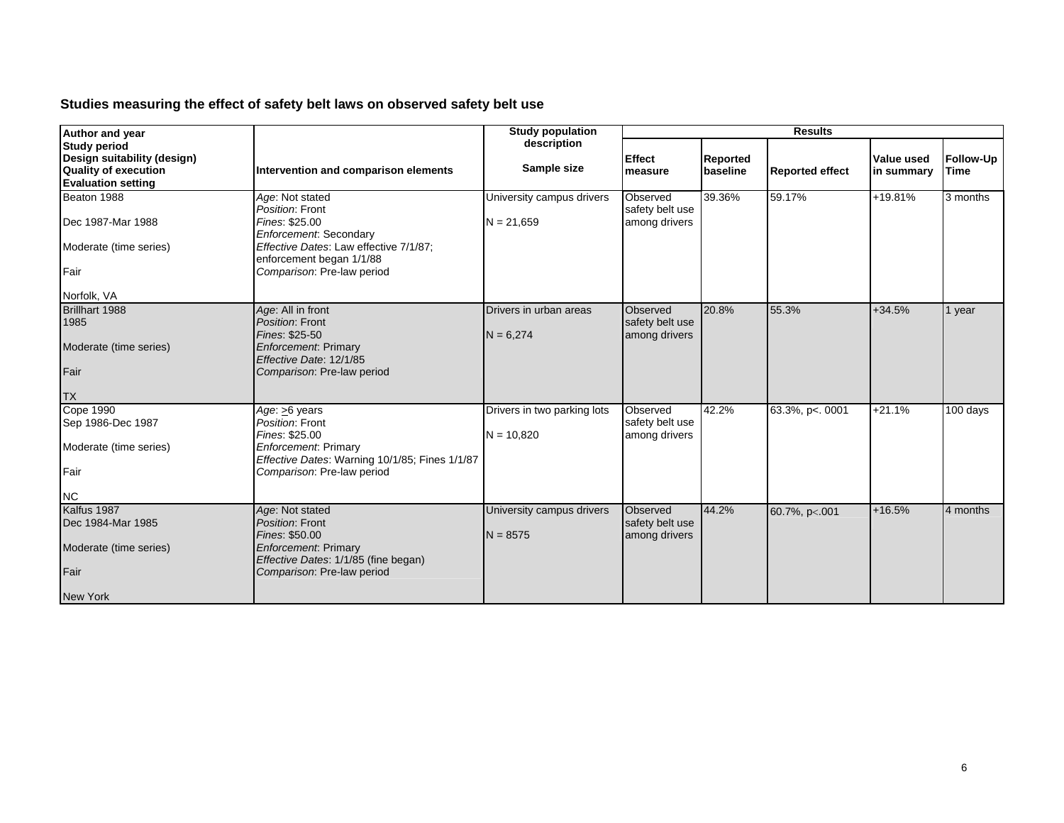## **Studies measuring the effect of safety belt laws on observed safety belt use**

| Author and year                                                                                                |                                                                                                                                                                                    | <b>Study population</b>                     | <b>Results</b>                               |                      |                        |                          |                   |
|----------------------------------------------------------------------------------------------------------------|------------------------------------------------------------------------------------------------------------------------------------------------------------------------------------|---------------------------------------------|----------------------------------------------|----------------------|------------------------|--------------------------|-------------------|
| <b>Study period</b><br>Design suitability (design)<br><b>Quality of execution</b><br><b>Evaluation setting</b> | Intervention and comparison elements                                                                                                                                               | description<br>Sample size                  | <b>Effect</b><br>measure                     | Reported<br>baseline | <b>Reported effect</b> | Value used<br>in summary | Follow-Up<br>Time |
| Beaton 1988<br>Dec 1987-Mar 1988<br>Moderate (time series)<br>Fair<br>Norfolk, VA                              | Age: Not stated<br>Position: Front<br>Fines: \$25.00<br>Enforcement: Secondary<br>Effective Dates: Law effective 7/1/87;<br>enforcement began 1/1/88<br>Comparison: Pre-law period | University campus drivers<br>$N = 21,659$   | Observed<br>safety belt use<br>among drivers | 39.36%               | 59.17%                 | $+19.81%$                | 3 months          |
| Brillhart 1988<br>1985<br>Moderate (time series)<br>Fair<br><b>TX</b>                                          | Age: All in front<br>Position: Front<br>Fines: \$25-50<br><b>Enforcement: Primary</b><br>Effective Date: 12/1/85<br>Comparison: Pre-law period                                     | Drivers in urban areas<br>$N = 6,274$       | Observed<br>safety belt use<br>among drivers | 20.8%                | 55.3%                  | $+34.5%$                 | 1 year            |
| <b>Cope 1990</b><br>Sep 1986-Dec 1987<br>Moderate (time series)<br>Fair<br><b>NC</b>                           | Age: >6 years<br>Position: Front<br>Fines: \$25.00<br>Enforcement: Primary<br>Effective Dates: Warning 10/1/85; Fines 1/1/87<br>Comparison: Pre-law period                         | Drivers in two parking lots<br>$N = 10,820$ | Observed<br>safety belt use<br>among drivers | 42.2%                | 63.3%, p<. 0001        | $+21.1%$                 | 100 days          |
| Kalfus 1987<br>Dec 1984-Mar 1985<br>Moderate (time series)<br>Fair<br><b>New York</b>                          | Age: Not stated<br>Position: Front<br>Fines: \$50.00<br><b>Enforcement</b> : Primary<br>Effective Dates: 1/1/85 (fine began)<br>Comparison: Pre-law period                         | University campus drivers<br>$N = 8575$     | Observed<br>safety belt use<br>among drivers | 44.2%                | 60.7%, p<.001          | $+16.5%$                 | 4 months          |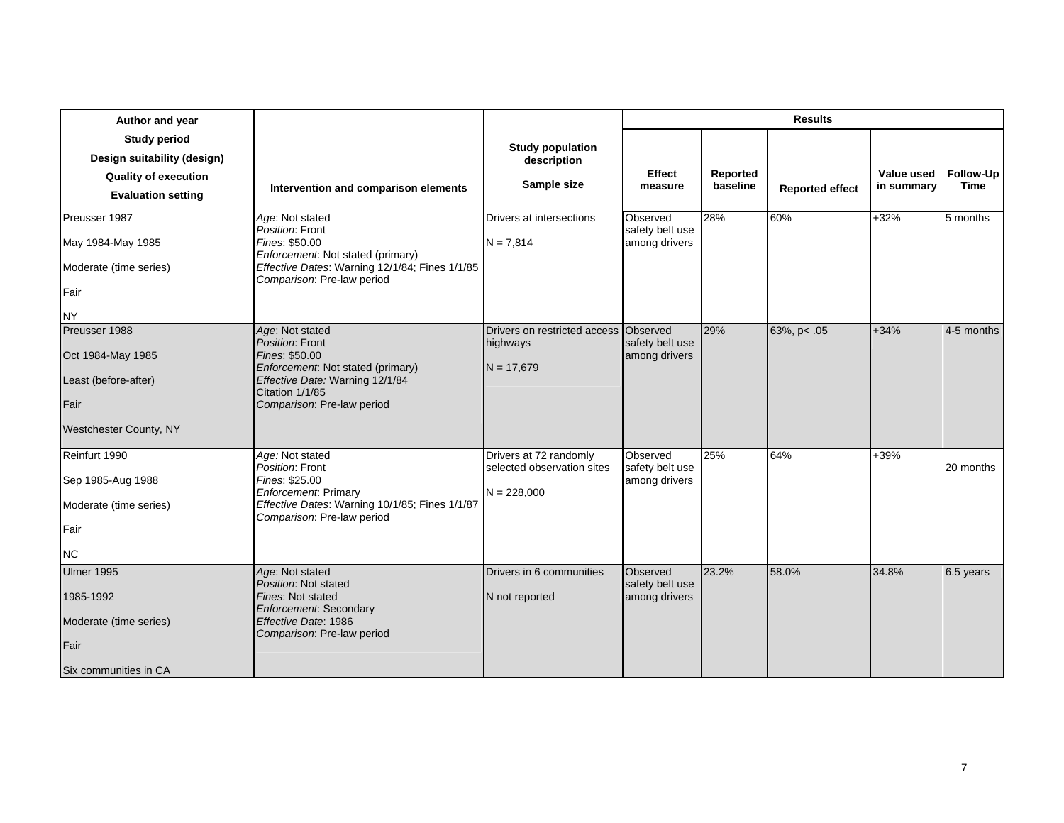| Author and year                                                                                                |                                                                                                                                                                               |                                                                       |                                              |                      | <b>Results</b>         |                          |                          |
|----------------------------------------------------------------------------------------------------------------|-------------------------------------------------------------------------------------------------------------------------------------------------------------------------------|-----------------------------------------------------------------------|----------------------------------------------|----------------------|------------------------|--------------------------|--------------------------|
| <b>Study period</b><br>Design suitability (design)<br><b>Quality of execution</b><br><b>Evaluation setting</b> | Intervention and comparison elements                                                                                                                                          | <b>Study population</b><br>description<br>Sample size                 | Effect<br>measure                            | Reported<br>baseline | <b>Reported effect</b> | Value used<br>in summary | Follow-Up<br><b>Time</b> |
| Preusser 1987<br>May 1984-May 1985<br>Moderate (time series)<br>Fair<br><b>NY</b>                              | Age: Not stated<br>Position: Front<br>Fines: \$50.00<br>Enforcement: Not stated (primary)<br>Effective Dates: Warning 12/1/84; Fines 1/1/85<br>Comparison: Pre-law period     | Drivers at intersections<br>$N = 7,814$                               | Observed<br>safety belt use<br>among drivers | 28%                  | 60%                    | $+32%$                   | 5 months                 |
| Preusser 1988<br>Oct 1984-May 1985<br>Least (before-after)<br>Fair<br>Westchester County, NY                   | Age: Not stated<br>Position: Front<br>Fines: \$50.00<br>Enforcement. Not stated (primary)<br>Effective Date: Warning 12/1/84<br>Citation 1/1/85<br>Comparison: Pre-law period | Drivers on restricted access<br>highways<br>$N = 17,679$              | Observed<br>safety belt use<br>among drivers | 29%                  | 63%, p< .05            | $+34%$                   | 4-5 months               |
| Reinfurt 1990<br>Sep 1985-Aug 1988<br>Moderate (time series)<br>Fair<br><b>NC</b>                              | Age: Not stated<br>Position: Front<br>Fines: \$25.00<br>Enforcement: Primary<br>Effective Dates: Warning 10/1/85; Fines 1/1/87<br>Comparison: Pre-law period                  | Drivers at 72 randomly<br>selected observation sites<br>$N = 228,000$ | Observed<br>safety belt use<br>among drivers | 25%                  | 64%                    | $+39%$                   | 20 months                |
| Ulmer 1995<br>1985-1992<br>Moderate (time series)<br>Fair<br>Six communities in CA                             | Age: Not stated<br>Position: Not stated<br>Fines: Not stated<br><b>Enforcement: Secondary</b><br>Effective Date: 1986<br>Comparison: Pre-law period                           | Drivers in 6 communities<br>N not reported                            | Observed<br>safety belt use<br>among drivers | 23.2%                | 58.0%                  | 34.8%                    | 6.5 years                |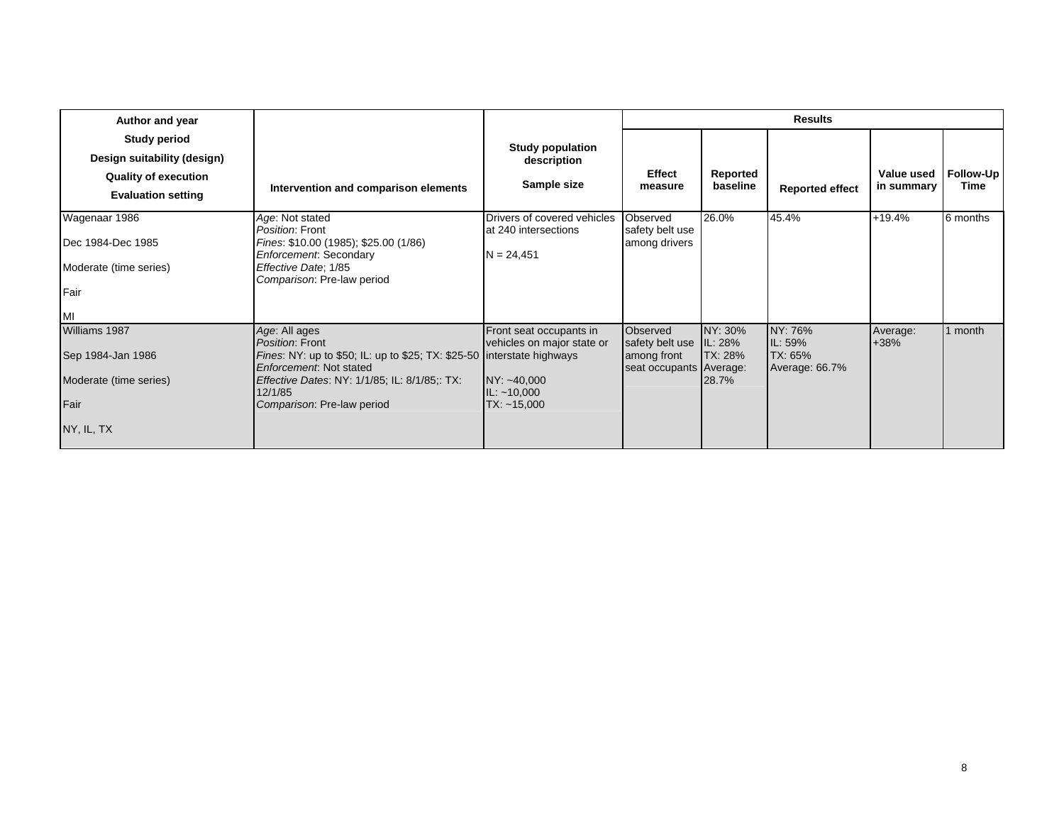| Author and year                                                                                                |                                                                                                                                                                                                                                        |                                                                                                      |                                                                               |                                    | <b>Results</b>                                          |                          |                          |
|----------------------------------------------------------------------------------------------------------------|----------------------------------------------------------------------------------------------------------------------------------------------------------------------------------------------------------------------------------------|------------------------------------------------------------------------------------------------------|-------------------------------------------------------------------------------|------------------------------------|---------------------------------------------------------|--------------------------|--------------------------|
| <b>Study period</b><br>Design suitability (design)<br><b>Quality of execution</b><br><b>Evaluation setting</b> | Intervention and comparison elements                                                                                                                                                                                                   | <b>Study population</b><br>description<br>Sample size                                                | <b>Effect</b><br>measure                                                      | Reported<br>baseline               | <b>Reported effect</b>                                  | Value used<br>in summary | Follow-Up<br><b>Time</b> |
| Wagenaar 1986<br>Dec 1984-Dec 1985<br>Moderate (time series)<br>Fair<br>IMI                                    | Age: Not stated<br>Position: Front<br>Fines: \$10.00 (1985); \$25.00 (1/86)<br>Enforcement: Secondary<br>Effective Date; 1/85<br>Comparison: Pre-law period                                                                            | Drivers of covered vehicles<br>at 240 intersections<br>$N = 24,451$                                  | Observed<br>safety belt use<br>among drivers                                  | 26.0%                              | 45.4%                                                   | $+19.4%$                 | 6 months                 |
| Williams 1987<br>Sep 1984-Jan 1986<br>Moderate (time series)<br>Fair<br>NY, IL, TX                             | Age: All ages<br>Position: Front<br>Fines: NY: up to \$50; IL: up to \$25; TX: \$25-50 interstate highways<br>Enforcement. Not stated<br><i>Effective Dates: NY: 1/1/85; IL: 8/1/85;: TX:</i><br>12/1/85<br>Comparison: Pre-law period | Front seat occupants in<br>vehicles on major state or<br>NY: ~40,000<br>IL: ~10,000<br>$TX: -15,000$ | Observed<br>safety belt use IL: 28%<br>among front<br>seat occupants Average: | NY: 30%<br><b>TX: 28%</b><br>28.7% | NY: 76%<br>IL: 59%<br><b>ITX: 65%</b><br>Average: 66.7% | Average:<br>$+38%$       | 1 month                  |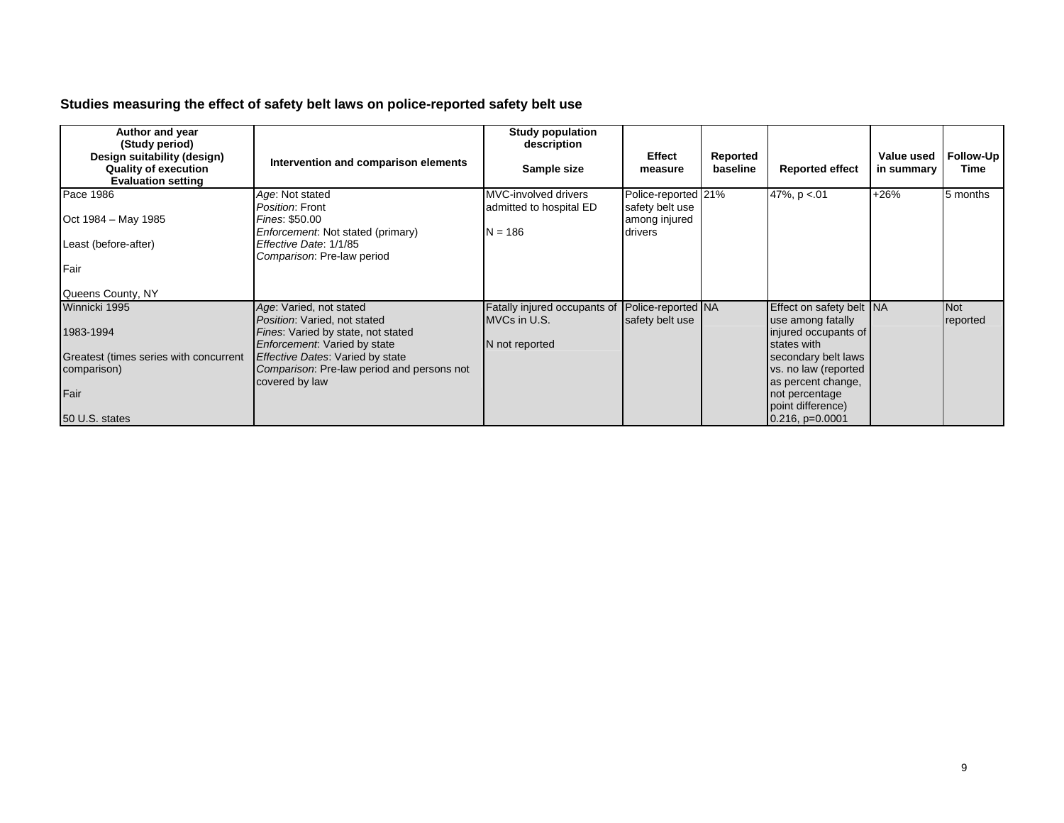## **Studies measuring the effect of safety belt laws on police-reported safety belt use**

| Author and year<br>(Study period)                                                       |                                                                                | <b>Study population</b><br>description          |                                        |                      |                                               |                          |                   |
|-----------------------------------------------------------------------------------------|--------------------------------------------------------------------------------|-------------------------------------------------|----------------------------------------|----------------------|-----------------------------------------------|--------------------------|-------------------|
| Design suitability (design)<br><b>Quality of execution</b><br><b>Evaluation setting</b> | Intervention and comparison elements                                           | Sample size                                     | <b>Effect</b><br>measure               | Reported<br>baseline | <b>Reported effect</b>                        | Value used<br>in summary | Follow-Up<br>Time |
| Pace 1986                                                                               | Age: Not stated<br>Position: Front                                             | MVC-involved drivers<br>admitted to hospital ED | Police-reported 21%<br>safety belt use |                      | 47%, $p < 01$                                 | $+26%$                   | 5 months          |
| Oct 1984 – May 1985                                                                     | Fines: \$50.00<br>Enforcement: Not stated (primary)                            | $N = 186$                                       | among injured<br>drivers               |                      |                                               |                          |                   |
| Least (before-after)                                                                    | Effective Date: 1/1/85<br>Comparison: Pre-law period                           |                                                 |                                        |                      |                                               |                          |                   |
| Fair                                                                                    |                                                                                |                                                 |                                        |                      |                                               |                          |                   |
| Queens County, NY                                                                       |                                                                                |                                                 |                                        |                      |                                               |                          |                   |
| Winnicki 1995                                                                           | Age: Varied, not stated<br>Position: Varied, not stated                        | Fatally injured occupants of<br>MVCs in U.S.    | Police-reported NA<br>safety belt use  |                      | Effect on safety belt NA<br>use among fatally |                          | Not<br>reported   |
| 1983-1994                                                                               | Fines: Varied by state, not stated<br>Enforcement: Varied by state             | N not reported                                  |                                        |                      | injured occupants of<br>states with           |                          |                   |
| Greatest (times series with concurrent<br>comparison)                                   | Effective Dates: Varied by state<br>Comparison: Pre-law period and persons not |                                                 |                                        |                      | secondary belt laws<br>vs. no law (reported   |                          |                   |
|                                                                                         | covered by law                                                                 |                                                 |                                        |                      | as percent change,                            |                          |                   |
| Fair                                                                                    |                                                                                |                                                 |                                        |                      | not percentage                                |                          |                   |
| 50 U.S. states                                                                          |                                                                                |                                                 |                                        |                      | point difference)<br>$0.216$ , $p=0.0001$     |                          |                   |